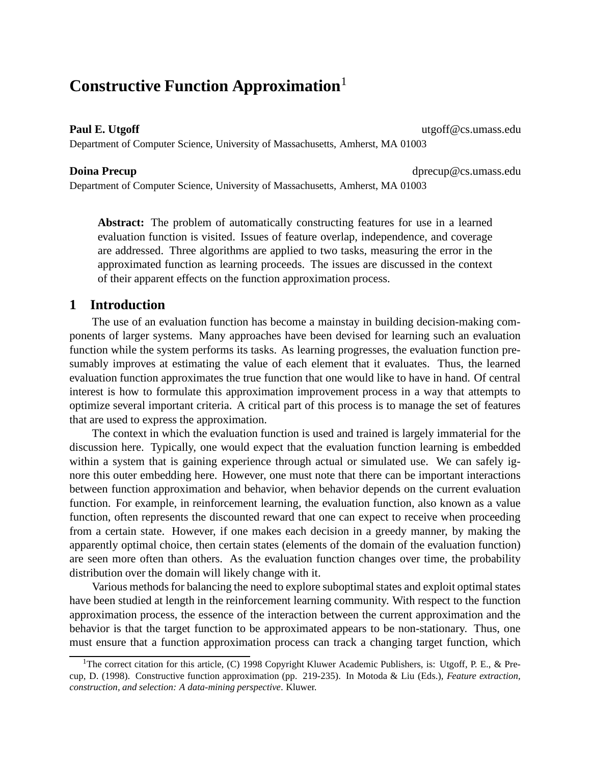# **Constructive Function Approximation**<sup>1</sup>

#### **Paul E. Utgoff** utgoff@cs.umass.edu

Department of Computer Science, University of Massachusetts, Amherst, MA 01003

**Doina Precup** dprecup@cs.umass.edu

Department of Computer Science, University of Massachusetts, Amherst, MA 01003

**Abstract:** The problem of automatically constructing features for use in a learned evaluation function is visited. Issues of feature overlap, independence, and coverage are addressed. Three algorithms are applied to two tasks, measuring the error in the approximated function as learning proceeds. The issues are discussed in the context of their apparent effects on the function approximation process.

## **1 Introduction**

The use of an evaluation function has become a mainstay in building decision-making components of larger systems. Many approaches have been devised for learning such an evaluation function while the system performs its tasks. As learning progresses, the evaluation function presumably improves at estimating the value of each element that it evaluates. Thus, the learned evaluation function approximates the true function that one would like to have in hand. Of central interest is how to formulate this approximation improvement process in a way that attempts to optimize several important criteria. A critical part of this process is to manage the set of features that are used to express the approximation.

The context in which the evaluation function is used and trained is largely immaterial for the discussion here. Typically, one would expect that the evaluation function learning is embedded within a system that is gaining experience through actual or simulated use. We can safely ignore this outer embedding here. However, one must note that there can be important interactions between function approximation and behavior, when behavior depends on the current evaluation function. For example, in reinforcement learning, the evaluation function, also known as a value function, often represents the discounted reward that one can expect to receive when proceeding from a certain state. However, if one makes each decision in a greedy manner, by making the apparently optimal choice, then certain states (elements of the domain of the evaluation function) are seen more often than others. As the evaluation function changes over time, the probability distribution over the domain will likely change with it.

Various methods for balancing the need to explore suboptimal states and exploit optimal states have been studied at length in the reinforcement learning community. With respect to the function approximation process, the essence of the interaction between the current approximation and the behavior is that the target function to be approximated appears to be non-stationary. Thus, one must ensure that a function approximation process can track a changing target function, which

<sup>&</sup>lt;sup>1</sup>The correct citation for this article, (C) 1998 Copyright Kluwer Academic Publishers, is: Utgoff, P. E., & Precup, D. (1998). Constructive function approximation (pp. 219-235). In Motoda & Liu (Eds.), *Feature extraction, construction, and selection: A data-mining perspective*. Kluwer.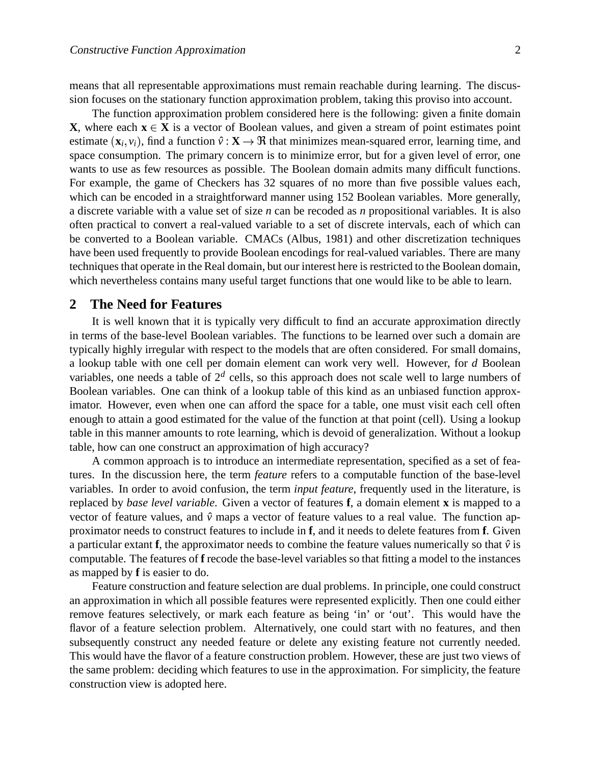means that all representable approximations must remain reachable during learning. The discussion focuses on the stationary function approximation problem, taking this proviso into account.

The function approximation problem considered here is the following: given a finite domain **X**, where each  $x \in X$  is a vector of Boolean values, and given a stream of point estimates point estimate  $(x_i, v_i)$ , find a function  $\hat{v}: \mathbf{X} \to \Re$  that minimizes mean-squared error, learning time, and space consumption. The primary concern is to minimize error, but for a given level of error, one wants to use as few resources as possible. The Boolean domain admits many difficult functions. For example, the game of Checkers has 32 squares of no more than five possible values each, which can be encoded in a straightforward manner using 152 Boolean variables. More generally, a discrete variable with a value set of size *n* can be recoded as *n* propositional variables. It is also often practical to convert a real-valued variable to a set of discrete intervals, each of which can be converted to a Boolean variable. CMACs (Albus, 1981) and other discretization techniques have been used frequently to provide Boolean encodings for real-valued variables. There are many techniques that operate in the Real domain, but our interest here is restricted to the Boolean domain, which nevertheless contains many useful target functions that one would like to be able to learn.

## **2 The Need for Features**

It is well known that it is typically very difficult to find an accurate approximation directly in terms of the base-level Boolean variables. The functions to be learned over such a domain are typically highly irregular with respect to the models that are often considered. For small domains, a lookup table with one cell per domain element can work very well. However, for *d* Boolean variables, one needs a table of  $2<sup>d</sup>$  cells, so this approach does not scale well to large numbers of Boolean variables. One can think of a lookup table of this kind as an unbiased function approximator. However, even when one can afford the space for a table, one must visit each cell often enough to attain a good estimated for the value of the function at that point (cell). Using a lookup table in this manner amounts to rote learning, which is devoid of generalization. Without a lookup table, how can one construct an approximation of high accuracy?

A common approach is to introduce an intermediate representation, specified as a set of features. In the discussion here, the term *feature* refers to a computable function of the base-level variables. In order to avoid confusion, the term *input feature*, frequently used in the literature, is replaced by *base level variable*. Given a vector of features **f**, a domain element **x** is mapped to a vector of feature values, and  $\hat{v}$  maps a vector of feature values to a real value. The function approximator needs to construct features to include in **f**, and it needs to delete features from **f**. Given a particular extant **f**, the approximator needs to combine the feature values numerically so that  $\hat{v}$  is computable. The features of **f** recode the base-level variables so that fitting a model to the instances as mapped by **f** is easier to do.

Feature construction and feature selection are dual problems. In principle, one could construct an approximation in which all possible features were represented explicitly. Then one could either remove features selectively, or mark each feature as being 'in' or 'out'. This would have the flavor of a feature selection problem. Alternatively, one could start with no features, and then subsequently construct any needed feature or delete any existing feature not currently needed. This would have the flavor of a feature construction problem. However, these are just two views of the same problem: deciding which features to use in the approximation. For simplicity, the feature construction view is adopted here.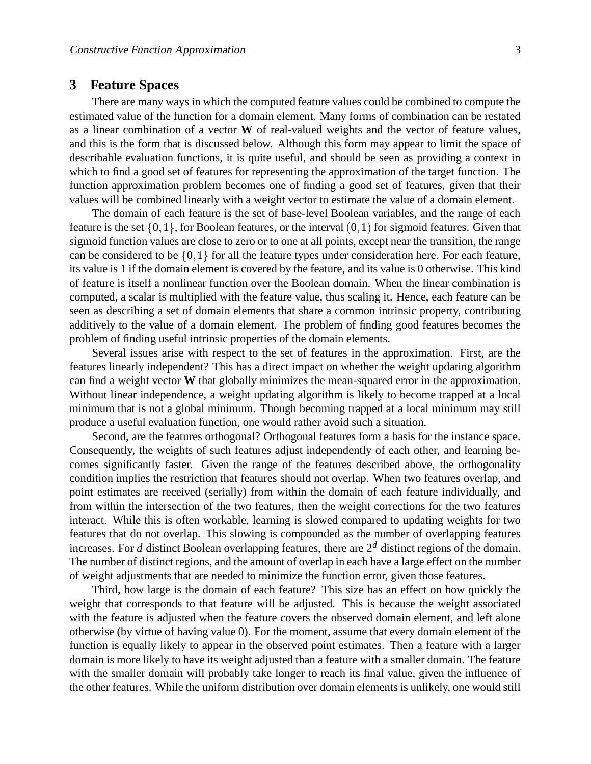## **3 Feature Spaces**

There are many ways in which the computed feature values could be combined to compute the estimated value of the function for a domain element. Many forms of combination can be restated as a linear combination of a vector **W** of real-valued weights and the vector of feature values, and this is the form that is discussed below. Although this form may appear to limit the space of describable evaluation functions, it is quite useful, and should be seen as providing a context in which to find a good set of features for representing the approximation of the target function. The function approximation problem becomes one of finding a good set of features, given that their values will be combined linearly with a weight vector to estimate the value of a domain element.

The domain of each feature is the set of base-level Boolean variables, and the range of each feature is the set  $\{0,1\}$ , for Boolean features, or the interval  $(0,1)$  for sigmoid features. Given that sigmoid function values are close to zero or to one at all points, except near the transition, the range can be considered to be  $\{0,1\}$  for all the feature types under consideration here. For each feature, its value is 1 if the domain element is covered by the feature, and its value is 0 otherwise. This kind of feature is itself a nonlinear function over the Boolean domain. When the linear combination is computed, a scalar is multiplied with the feature value, thus scaling it. Hence, each feature can be seen as describing a set of domain elements that share a common intrinsic property, contributing additively to the value of a domain element. The problem of finding good features becomes the problem of finding useful intrinsic properties of the domain elements.

Several issues arise with respect to the set of features in the approximation. First, are the features linearly independent? This has a direct impact on whether the weight updating algorithm can find a weight vector **W** that globally minimizes the mean-squared error in the approximation. Without linear independence, a weight updating algorithm is likely to become trapped at a local minimum that is not a global minimum. Though becoming trapped at a local minimum may still produce a useful evaluation function, one would rather avoid such a situation.

Second, are the features orthogonal? Orthogonal features form a basis for the instance space. Consequently, the weights of such features adjust independently of each other, and learning becomes significantly faster. Given the range of the features described above, the orthogonality condition implies the restriction that features should not overlap. When two features overlap, and point estimates are received (serially) from within the domain of each feature individually, and from within the intersection of the two features, then the weight corrections for the two features interact. While this is often workable, learning is slowed compared to updating weights for two features that do not overlap. This slowing is compounded as the number of overlapping features increases. For *d* distinct Boolean overlapping features, there are 2 *<sup>d</sup>* distinct regions of the domain. The number of distinct regions, and the amount of overlap in each have a large effect on the number of weight adjustments that are needed to minimize the function error, given those features.

Third, how large is the domain of each feature? This size has an effect on how quickly the weight that corresponds to that feature will be adjusted. This is because the weight associated with the feature is adjusted when the feature covers the observed domain element, and left alone otherwise (by virtue of having value 0). For the moment, assume that every domain element of the function is equally likely to appear in the observed point estimates. Then a feature with a larger domain is more likely to have its weight adjusted than a feature with a smaller domain. The feature with the smaller domain will probably take longer to reach its final value, given the influence of the other features. While the uniform distribution over domain elements is unlikely, one would still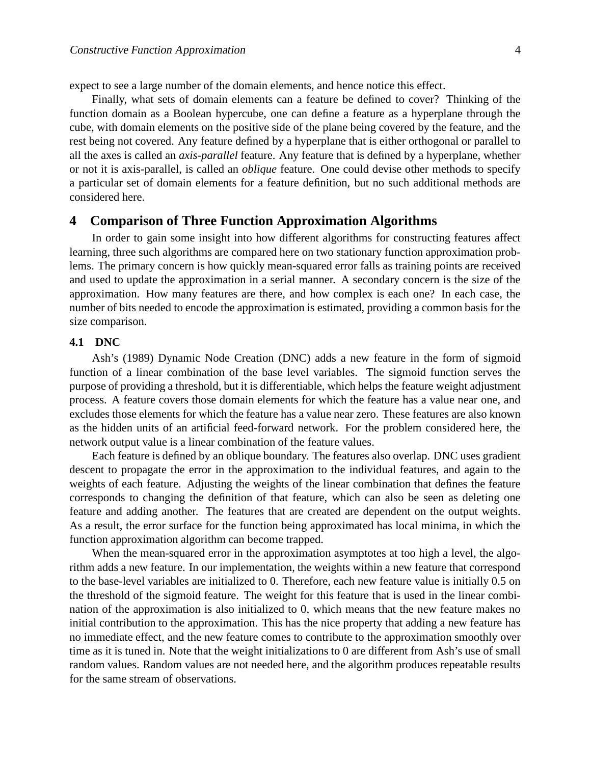Finally, what sets of domain elements can a feature be defined to cover? Thinking of the function domain as a Boolean hypercube, one can define a feature as a hyperplane through the cube, with domain elements on the positive side of the plane being covered by the feature, and the rest being not covered. Any feature defined by a hyperplane that is either orthogonal or parallel to all the axes is called an *axis-parallel* feature. Any feature that is defined by a hyperplane, whether or not it is axis-parallel, is called an *oblique* feature. One could devise other methods to specify a particular set of domain elements for a feature definition, but no such additional methods are considered here.

### **4 Comparison of Three Function Approximation Algorithms**

In order to gain some insight into how different algorithms for constructing features affect learning, three such algorithms are compared here on two stationary function approximation problems. The primary concern is how quickly mean-squared error falls as training points are received and used to update the approximation in a serial manner. A secondary concern is the size of the approximation. How many features are there, and how complex is each one? In each case, the number of bits needed to encode the approximation is estimated, providing a common basis for the size comparison.

#### **4.1 DNC**

Ash's (1989) Dynamic Node Creation (DNC) adds a new feature in the form of sigmoid function of a linear combination of the base level variables. The sigmoid function serves the purpose of providing a threshold, but it is differentiable, which helps the feature weight adjustment process. A feature covers those domain elements for which the feature has a value near one, and excludes those elements for which the feature has a value near zero. These features are also known as the hidden units of an artificial feed-forward network. For the problem considered here, the network output value is a linear combination of the feature values.

Each feature is defined by an oblique boundary. The features also overlap. DNC uses gradient descent to propagate the error in the approximation to the individual features, and again to the weights of each feature. Adjusting the weights of the linear combination that defines the feature corresponds to changing the definition of that feature, which can also be seen as deleting one feature and adding another. The features that are created are dependent on the output weights. As a result, the error surface for the function being approximated has local minima, in which the function approximation algorithm can become trapped.

When the mean-squared error in the approximation asymptotes at too high a level, the algorithm adds a new feature. In our implementation, the weights within a new feature that correspond to the base-level variables are initialized to 0. Therefore, each new feature value is initially 0.5 on the threshold of the sigmoid feature. The weight for this feature that is used in the linear combination of the approximation is also initialized to 0, which means that the new feature makes no initial contribution to the approximation. This has the nice property that adding a new feature has no immediate effect, and the new feature comes to contribute to the approximation smoothly over time as it is tuned in. Note that the weight initializations to 0 are different from Ash's use of small random values. Random values are not needed here, and the algorithm produces repeatable results for the same stream of observations.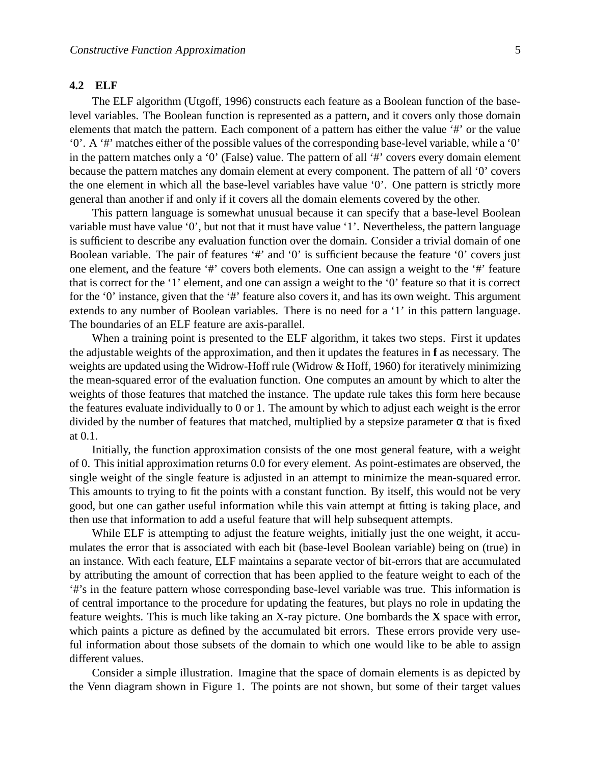#### **4.2 ELF**

The ELF algorithm (Utgoff, 1996) constructs each feature as a Boolean function of the baselevel variables. The Boolean function is represented as a pattern, and it covers only those domain elements that match the pattern. Each component of a pattern has either the value '#' or the value '0'. A '#' matches either of the possible values of the corresponding base-level variable, while a '0' in the pattern matches only a '0' (False) value. The pattern of all '#' covers every domain element because the pattern matches any domain element at every component. The pattern of all '0' covers the one element in which all the base-level variables have value '0'. One pattern is strictly more general than another if and only if it covers all the domain elements covered by the other.

This pattern language is somewhat unusual because it can specify that a base-level Boolean variable must have value '0', but not that it must have value '1'. Nevertheless, the pattern language is sufficient to describe any evaluation function over the domain. Consider a trivial domain of one Boolean variable. The pair of features '#' and '0' is sufficient because the feature '0' covers just one element, and the feature '#' covers both elements. One can assign a weight to the '#' feature that is correct for the '1' element, and one can assign a weight to the '0' feature so that it is correct for the '0' instance, given that the '#' feature also covers it, and has its own weight. This argument extends to any number of Boolean variables. There is no need for a '1' in this pattern language. The boundaries of an ELF feature are axis-parallel.

When a training point is presented to the ELF algorithm, it takes two steps. First it updates the adjustable weights of the approximation, and then it updates the features in **f** as necessary. The weights are updated using the Widrow-Hoff rule (Widrow & Hoff, 1960) for iteratively minimizing the mean-squared error of the evaluation function. One computes an amount by which to alter the weights of those features that matched the instance. The update rule takes this form here because the features evaluate individually to 0 or 1. The amount by which to adjust each weight is the error divided by the number of features that matched, multiplied by a stepsize parameter  $\alpha$  that is fixed at 0.1.

Initially, the function approximation consists of the one most general feature, with a weight of 0. This initial approximation returns 0.0 for every element. As point-estimates are observed, the single weight of the single feature is adjusted in an attempt to minimize the mean-squared error. This amounts to trying to fit the points with a constant function. By itself, this would not be very good, but one can gather useful information while this vain attempt at fitting is taking place, and then use that information to add a useful feature that will help subsequent attempts.

While ELF is attempting to adjust the feature weights, initially just the one weight, it accumulates the error that is associated with each bit (base-level Boolean variable) being on (true) in an instance. With each feature, ELF maintains a separate vector of bit-errors that are accumulated by attributing the amount of correction that has been applied to the feature weight to each of the '#'s in the feature pattern whose corresponding base-level variable was true. This information is of central importance to the procedure for updating the features, but plays no role in updating the feature weights. This is much like taking an X-ray picture. One bombards the **X** space with error, which paints a picture as defined by the accumulated bit errors. These errors provide very useful information about those subsets of the domain to which one would like to be able to assign different values.

Consider a simple illustration. Imagine that the space of domain elements is as depicted by the Venn diagram shown in Figure 1. The points are not shown, but some of their target values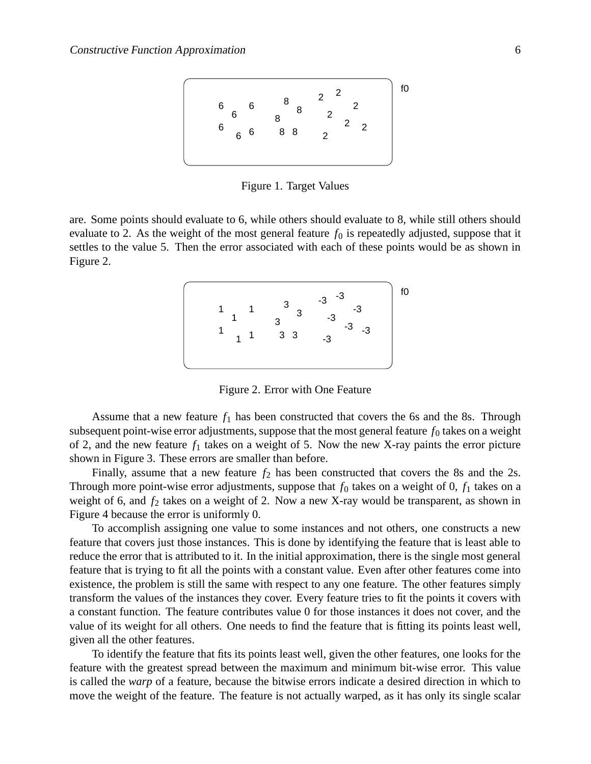

Figure 1. Target Values

are. Some points should evaluate to 6, while others should evaluate to 8, while still others should evaluate to 2. As the weight of the most general feature  $f_0$  is repeatedly adjusted, suppose that it settles to the value 5. Then the error associated with each of these points would be as shown in Figure 2.



Figure 2. Error with One Feature

Assume that a new feature  $f_1$  has been constructed that covers the 6s and the 8s. Through subsequent point-wise error adjustments, suppose that the most general feature  $f_0$  takes on a weight of 2, and the new feature  $f_1$  takes on a weight of 5. Now the new X-ray paints the error picture shown in Figure 3. These errors are smaller than before.

Finally, assume that a new feature  $f_2$  has been constructed that covers the 8s and the 2s. Through more point-wise error adjustments, suppose that  $f_0$  takes on a weight of 0,  $f_1$  takes on a weight of 6, and  $f_2$  takes on a weight of 2. Now a new X-ray would be transparent, as shown in Figure 4 because the error is uniformly 0.

To accomplish assigning one value to some instances and not others, one constructs a new feature that covers just those instances. This is done by identifying the feature that is least able to reduce the error that is attributed to it. In the initial approximation, there is the single most general feature that is trying to fit all the points with a constant value. Even after other features come into existence, the problem is still the same with respect to any one feature. The other features simply transform the values of the instances they cover. Every feature tries to fit the points it covers with a constant function. The feature contributes value 0 for those instances it does not cover, and the value of its weight for all others. One needs to find the feature that is fitting its points least well, given all the other features.

To identify the feature that fits its points least well, given the other features, one looks for the feature with the greatest spread between the maximum and minimum bit-wise error. This value is called the *warp* of a feature, because the bitwise errors indicate a desired direction in which to move the weight of the feature. The feature is not actually warped, as it has only its single scalar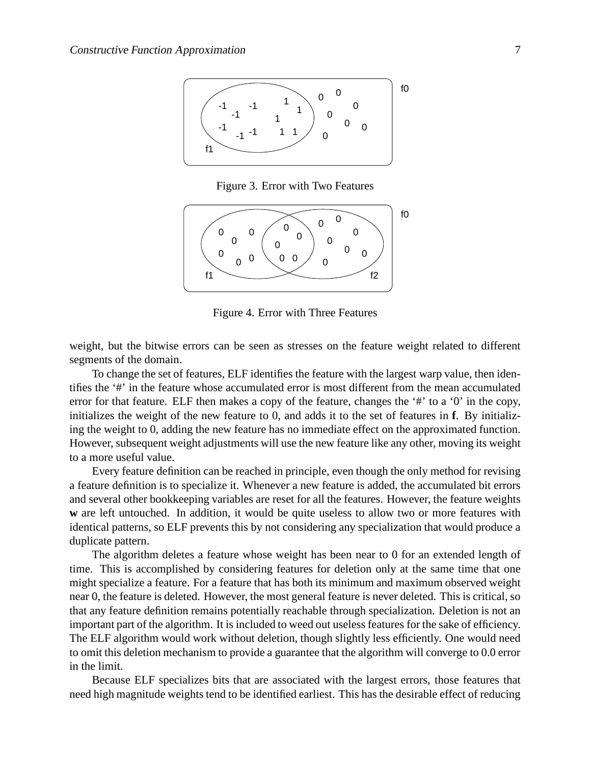

Figure 3. Error with Two Features



Figure 4. Error with Three Features

weight, but the bitwise errors can be seen as stresses on the feature weight related to different segments of the domain.

To change the set of features, ELF identifies the feature with the largest warp value, then identifies the '#' in the feature whose accumulated error is most different from the mean accumulated error for that feature. ELF then makes a copy of the feature, changes the '#' to a '0' in the copy, initializes the weight of the new feature to 0, and adds it to the set of features in **f**. By initializing the weight to 0, adding the new feature has no immediate effect on the approximated function. However, subsequent weight adjustments will use the new feature like any other, moving its weight to a more useful value.

Every feature definition can be reached in principle, even though the only method for revising a feature definition is to specialize it. Whenever a new feature is added, the accumulated bit errors and several other bookkeeping variables are reset for all the features. However, the feature weights **w** are left untouched. In addition, it would be quite useless to allow two or more features with identical patterns, so ELF prevents this by not considering any specialization that would produce a duplicate pattern.

The algorithm deletes a feature whose weight has been near to 0 for an extended length of time. This is accomplished by considering features for deletion only at the same time that one might specialize a feature. For a feature that has both its minimum and maximum observed weight near 0, the feature is deleted. However, the most general feature is never deleted. This is critical, so that any feature definition remains potentially reachable through specialization. Deletion is not an important part of the algorithm. It is included to weed out useless features for the sake of efficiency. The ELF algorithm would work without deletion, though slightly less efficiently. One would need to omit this deletion mechanism to provide a guarantee that the algorithm will converge to 0.0 error in the limit.

Because ELF specializes bits that are associated with the largest errors, those features that need high magnitude weights tend to be identified earliest. This has the desirable effect of reducing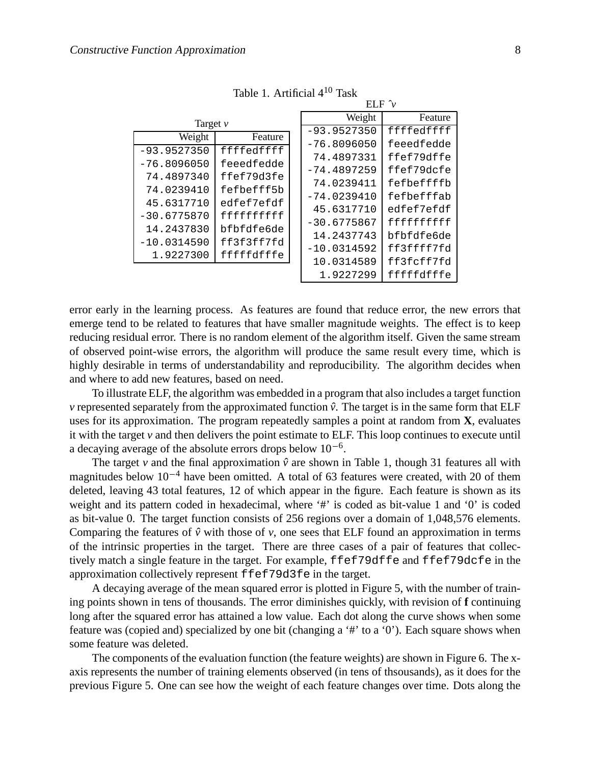| Target $\nu$  |               | Weight        | Feature       |
|---------------|---------------|---------------|---------------|
|               | $-93.9527350$ | ffffedffff    |               |
| Weight        | Feature       | $-76.8096050$ | feeedfedde    |
| $-93.9527350$ | ffffedffff    |               |               |
| $-76.8096050$ | feeedfedde    | 74.4897331    | ffef79dffe    |
|               |               | $-74.4897259$ | ffef79dcfe    |
| 74.4897340    | ffef79d3fe    | 74.0239411    | fefbeffffb    |
| 74.0239410    | fefbefff5b    |               |               |
| 45.6317710    | edfef7efdf    | $-74.0239410$ | fefbefffab    |
| $-30.6775870$ | fffffffffff   | 45.6317710    | edfef7efdf    |
|               |               | $-30.6775867$ | fffffffffffff |
| 14.2437830    | bfbfdfe6de    | 14.2437743    | bfbfdfe6de    |
| $-10.0314590$ | ff3f3ff7fd    |               |               |
| 1.9227300     | fffffdfffe    | $-10.0314592$ | ff3ffff7fd    |
|               |               | 10.0314589    | ff3fcff7fd    |
|               |               | 1.9227299     | fffffdfffe    |

Table 1. Artificial 4 <sup>10</sup> Task

ELF ˆ*v*

error early in the learning process. As features are found that reduce error, the new errors that emerge tend to be related to features that have smaller magnitude weights. The effect is to keep reducing residual error. There is no random element of the algorithm itself. Given the same stream of observed point-wise errors, the algorithm will produce the same result every time, which is highly desirable in terms of understandability and reproducibility. The algorithm decides when and where to add new features, based on need.

To illustrate ELF, the algorithm was embedded in a program that also includes a target function *v* represented separately from the approximated function  $\hat{v}$ . The target is in the same form that ELF uses for its approximation. The program repeatedly samples a point at random from **X**, evaluates it with the target *v* and then delivers the point estimate to ELF. This loop continues to execute until a decaying average of the absolute errors drops below  $10^{-6}$ .

The target *v* and the final approximation  $\hat{v}$  are shown in Table 1, though 31 features all with magnitudes below  $10^{-4}$  have been omitted. A total of 63 features were created, with 20 of them deleted, leaving 43 total features, 12 of which appear in the figure. Each feature is shown as its weight and its pattern coded in hexadecimal, where '#' is coded as bit-value 1 and '0' is coded as bit-value 0. The target function consists of 256 regions over a domain of 1,048,576 elements. Comparing the features of  $\hat{v}$  with those of  $v$ , one sees that ELF found an approximation in terms of the intrinsic properties in the target. There are three cases of a pair of features that collectively match a single feature in the target. For example, ffef79dffe and ffef79dcfe in the approximation collectively represent ffef79d3fe in the target.

A decaying average of the mean squared error is plotted in Figure 5, with the number of training points shown in tens of thousands. The error diminishes quickly, with revision of **f** continuing long after the squared error has attained a low value. Each dot along the curve shows when some feature was (copied and) specialized by one bit (changing a '#' to a '0'). Each square shows when some feature was deleted.

The components of the evaluation function (the feature weights) are shown in Figure 6. The xaxis represents the number of training elements observed (in tens of thsousands), as it does for the previous Figure 5. One can see how the weight of each feature changes over time. Dots along the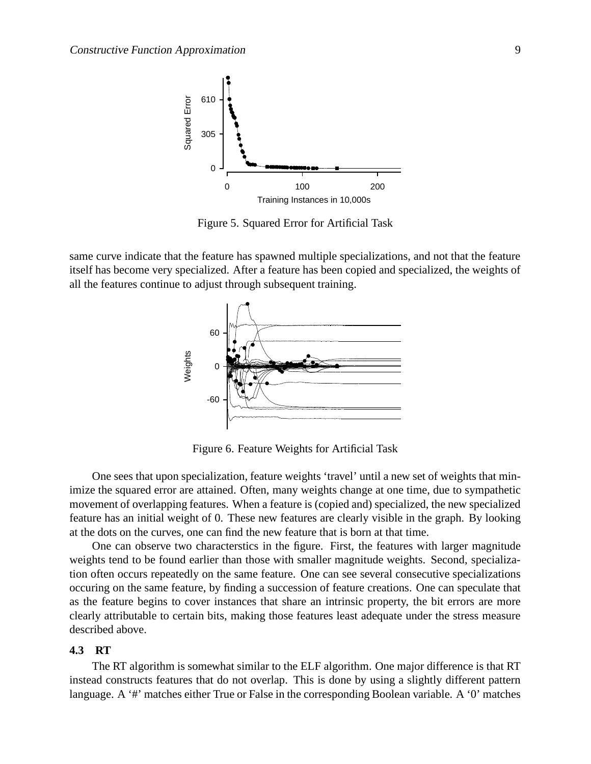

Figure 5. Squared Error for Artificial Task

same curve indicate that the feature has spawned multiple specializations, and not that the feature itself has become very specialized. After a feature has been copied and specialized, the weights of all the features continue to adjust through subsequent training.



Figure 6. Feature Weights for Artificial Task

One sees that upon specialization, feature weights 'travel' until a new set of weights that minimize the squared error are attained. Often, many weights change at one time, due to sympathetic movement of overlapping features. When a feature is (copied and) specialized, the new specialized feature has an initial weight of 0. These new features are clearly visible in the graph. By looking at the dots on the curves, one can find the new feature that is born at that time.

One can observe two characterstics in the figure. First, the features with larger magnitude weights tend to be found earlier than those with smaller magnitude weights. Second, specialization often occurs repeatedly on the same feature. One can see several consecutive specializations occuring on the same feature, by finding a succession of feature creations. One can speculate that as the feature begins to cover instances that share an intrinsic property, the bit errors are more clearly attributable to certain bits, making those features least adequate under the stress measure described above.

#### **4.3 RT**

The RT algorithm is somewhat similar to the ELF algorithm. One major difference is that RT instead constructs features that do not overlap. This is done by using a slightly different pattern language. A '#' matches either True or False in the corresponding Boolean variable. A '0' matches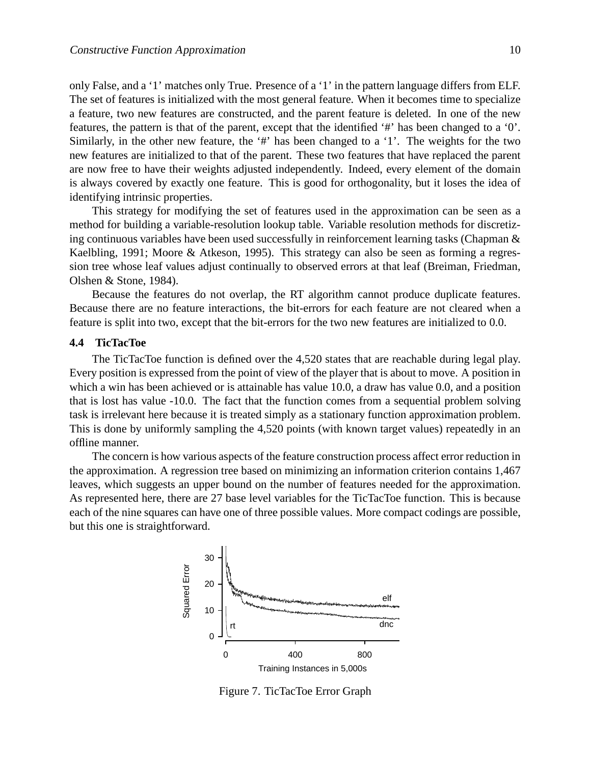only False, and a '1' matches only True. Presence of a '1' in the pattern language differs from ELF. The set of features is initialized with the most general feature. When it becomes time to specialize a feature, two new features are constructed, and the parent feature is deleted. In one of the new features, the pattern is that of the parent, except that the identified '#' has been changed to a '0'. Similarly, in the other new feature, the '#' has been changed to a '1'. The weights for the two new features are initialized to that of the parent. These two features that have replaced the parent are now free to have their weights adjusted independently. Indeed, every element of the domain is always covered by exactly one feature. This is good for orthogonality, but it loses the idea of identifying intrinsic properties.

This strategy for modifying the set of features used in the approximation can be seen as a method for building a variable-resolution lookup table. Variable resolution methods for discretizing continuous variables have been used successfully in reinforcement learning tasks (Chapman & Kaelbling, 1991; Moore & Atkeson, 1995). This strategy can also be seen as forming a regression tree whose leaf values adjust continually to observed errors at that leaf (Breiman, Friedman, Olshen & Stone, 1984).

Because the features do not overlap, the RT algorithm cannot produce duplicate features. Because there are no feature interactions, the bit-errors for each feature are not cleared when a feature is split into two, except that the bit-errors for the two new features are initialized to 0.0.

#### **4.4 TicTacToe**

The TicTacToe function is defined over the 4,520 states that are reachable during legal play. Every position is expressed from the point of view of the player that is about to move. A position in which a win has been achieved or is attainable has value 10.0, a draw has value 0.0, and a position that is lost has value -10.0. The fact that the function comes from a sequential problem solving task is irrelevant here because it is treated simply as a stationary function approximation problem. This is done by uniformly sampling the 4,520 points (with known target values) repeatedly in an offline manner.

The concern is how various aspects of the feature construction process affect error reduction in the approximation. A regression tree based on minimizing an information criterion contains 1,467 leaves, which suggests an upper bound on the number of features needed for the approximation. As represented here, there are 27 base level variables for the TicTacToe function. This is because each of the nine squares can have one of three possible values. More compact codings are possible, but this one is straightforward.



Figure 7. TicTacToe Error Graph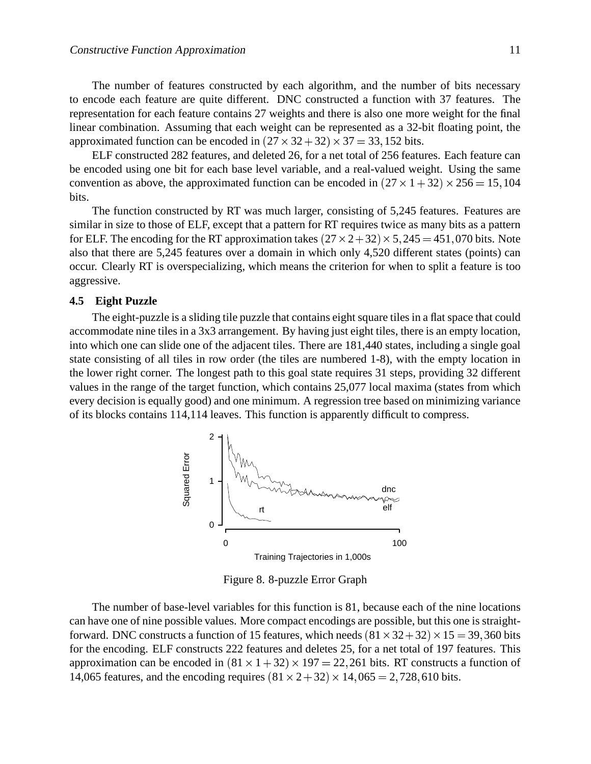The number of features constructed by each algorithm, and the number of bits necessary to encode each feature are quite different. DNC constructed a function with 37 features. The representation for each feature contains 27 weights and there is also one more weight for the final linear combination. Assuming that each weight can be represented as a 32-bit floating point, the approximated function can be encoded in  $(27 \times 32 + 32) \times 37 = 33,152$  bits.

ELF constructed 282 features, and deleted 26, for a net total of 256 features. Each feature can be encoded using one bit for each base level variable, and a real-valued weight. Using the same convention as above, the approximated function can be encoded in  $(27 \times 1 + 32) \times 256 = 15,104$ bits.

The function constructed by RT was much larger, consisting of 5,245 features. Features are similar in size to those of ELF, except that a pattern for RT requires twice as many bits as a pattern for ELF. The encoding for the RT approximation takes  $(27 \times 2 + 32) \times 5,245 = 451,070$  bits. Note also that there are 5,245 features over a domain in which only 4,520 different states (points) can occur. Clearly RT is overspecializing, which means the criterion for when to split a feature is too aggressive.

#### **4.5 Eight Puzzle**

The eight-puzzle is a sliding tile puzzle that contains eight square tilesin a flat space that could accommodate nine tiles in a 3x3 arrangement. By having just eight tiles, there is an empty location, into which one can slide one of the adjacent tiles. There are 181,440 states, including a single goal state consisting of all tiles in row order (the tiles are numbered 1-8), with the empty location in the lower right corner. The longest path to this goal state requires 31 steps, providing 32 different values in the range of the target function, which contains 25,077 local maxima (states from which every decision is equally good) and one minimum. A regression tree based on minimizing variance of its blocks contains 114,114 leaves. This function is apparently difficult to compress.



Figure 8. 8-puzzle Error Graph

The number of base-level variables for this function is 81, because each of the nine locations can have one of nine possible values. More compact encodings are possible, but this one is straightforward. DNC constructs a function of 15 features, which needs  $(81 \times 32 + 32) \times 15 = 39,360$  bits for the encoding. ELF constructs 222 features and deletes 25, for a net total of 197 features. This approximation can be encoded in  $(81 \times 1 + 32) \times 197 = 22,261$  bits. RT constructs a function of 14,065 features, and the encoding requires  $(81 \times 2 + 32) \times 14,065 = 2,728,610$  bits.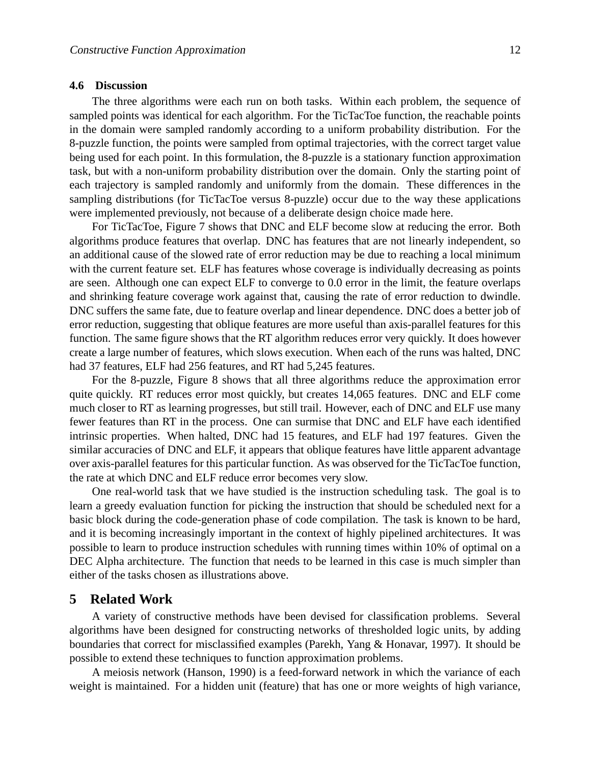#### **4.6 Discussion**

The three algorithms were each run on both tasks. Within each problem, the sequence of sampled points was identical for each algorithm. For the TicTacToe function, the reachable points in the domain were sampled randomly according to a uniform probability distribution. For the 8-puzzle function, the points were sampled from optimal trajectories, with the correct target value being used for each point. In this formulation, the 8-puzzle is a stationary function approximation task, but with a non-uniform probability distribution over the domain. Only the starting point of each trajectory is sampled randomly and uniformly from the domain. These differences in the sampling distributions (for TicTacToe versus 8-puzzle) occur due to the way these applications were implemented previously, not because of a deliberate design choice made here.

For TicTacToe, Figure 7 shows that DNC and ELF become slow at reducing the error. Both algorithms produce features that overlap. DNC has features that are not linearly independent, so an additional cause of the slowed rate of error reduction may be due to reaching a local minimum with the current feature set. ELF has features whose coverage is individually decreasing as points are seen. Although one can expect ELF to converge to 0.0 error in the limit, the feature overlaps and shrinking feature coverage work against that, causing the rate of error reduction to dwindle. DNC suffers the same fate, due to feature overlap and linear dependence. DNC does a better job of error reduction, suggesting that oblique features are more useful than axis-parallel features for this function. The same figure shows that the RT algorithm reduces error very quickly. It does however create a large number of features, which slows execution. When each of the runs was halted, DNC had 37 features, ELF had 256 features, and RT had 5,245 features.

For the 8-puzzle, Figure 8 shows that all three algorithms reduce the approximation error quite quickly. RT reduces error most quickly, but creates 14,065 features. DNC and ELF come much closer to RT as learning progresses, but still trail. However, each of DNC and ELF use many fewer features than RT in the process. One can surmise that DNC and ELF have each identified intrinsic properties. When halted, DNC had 15 features, and ELF had 197 features. Given the similar accuracies of DNC and ELF, it appears that oblique features have little apparent advantage over axis-parallel features for this particular function. As was observed for the TicTacToe function, the rate at which DNC and ELF reduce error becomes very slow.

One real-world task that we have studied is the instruction scheduling task. The goal is to learn a greedy evaluation function for picking the instruction that should be scheduled next for a basic block during the code-generation phase of code compilation. The task is known to be hard, and it is becoming increasingly important in the context of highly pipelined architectures. It was possible to learn to produce instruction schedules with running times within 10% of optimal on a DEC Alpha architecture. The function that needs to be learned in this case is much simpler than either of the tasks chosen as illustrations above.

### **5 Related Work**

A variety of constructive methods have been devised for classification problems. Several algorithms have been designed for constructing networks of thresholded logic units, by adding boundaries that correct for misclassified examples (Parekh, Yang & Honavar, 1997). It should be possible to extend these techniques to function approximation problems.

A meiosis network (Hanson, 1990) is a feed-forward network in which the variance of each weight is maintained. For a hidden unit (feature) that has one or more weights of high variance,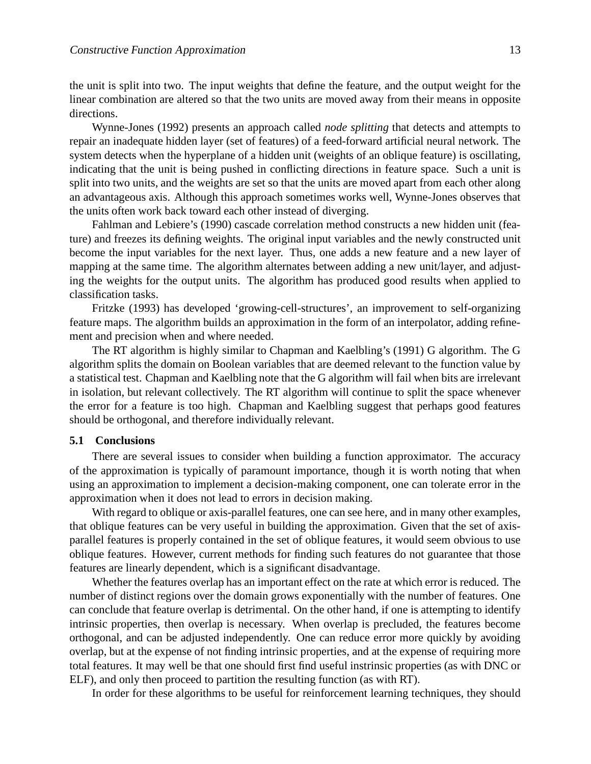the unit is split into two. The input weights that define the feature, and the output weight for the linear combination are altered so that the two units are moved away from their means in opposite directions.

Wynne-Jones (1992) presents an approach called *node splitting* that detects and attempts to repair an inadequate hidden layer (set of features) of a feed-forward artificial neural network. The system detects when the hyperplane of a hidden unit (weights of an oblique feature) is oscillating, indicating that the unit is being pushed in conflicting directions in feature space. Such a unit is split into two units, and the weights are set so that the units are moved apart from each other along an advantageous axis. Although this approach sometimes works well, Wynne-Jones observes that the units often work back toward each other instead of diverging.

Fahlman and Lebiere's (1990) cascade correlation method constructs a new hidden unit (feature) and freezes its defining weights. The original input variables and the newly constructed unit become the input variables for the next layer. Thus, one adds a new feature and a new layer of mapping at the same time. The algorithm alternates between adding a new unit/layer, and adjusting the weights for the output units. The algorithm has produced good results when applied to classification tasks.

Fritzke (1993) has developed 'growing-cell-structures', an improvement to self-organizing feature maps. The algorithm builds an approximation in the form of an interpolator, adding refinement and precision when and where needed.

The RT algorithm is highly similar to Chapman and Kaelbling's (1991) G algorithm. The G algorithm splits the domain on Boolean variables that are deemed relevant to the function value by a statistical test. Chapman and Kaelbling note that the G algorithm will fail when bits are irrelevant in isolation, but relevant collectively. The RT algorithm will continue to split the space whenever the error for a feature is too high. Chapman and Kaelbling suggest that perhaps good features should be orthogonal, and therefore individually relevant.

#### **5.1 Conclusions**

There are several issues to consider when building a function approximator. The accuracy of the approximation is typically of paramount importance, though it is worth noting that when using an approximation to implement a decision-making component, one can tolerate error in the approximation when it does not lead to errors in decision making.

With regard to oblique or axis-parallel features, one can see here, and in many other examples, that oblique features can be very useful in building the approximation. Given that the set of axisparallel features is properly contained in the set of oblique features, it would seem obvious to use oblique features. However, current methods for finding such features do not guarantee that those features are linearly dependent, which is a significant disadvantage.

Whether the features overlap has an important effect on the rate at which error is reduced. The number of distinct regions over the domain grows exponentially with the number of features. One can conclude that feature overlap is detrimental. On the other hand, if one is attempting to identify intrinsic properties, then overlap is necessary. When overlap is precluded, the features become orthogonal, and can be adjusted independently. One can reduce error more quickly by avoiding overlap, but at the expense of not finding intrinsic properties, and at the expense of requiring more total features. It may well be that one should first find useful instrinsic properties (as with DNC or ELF), and only then proceed to partition the resulting function (as with RT).

In order for these algorithms to be useful for reinforcement learning techniques, they should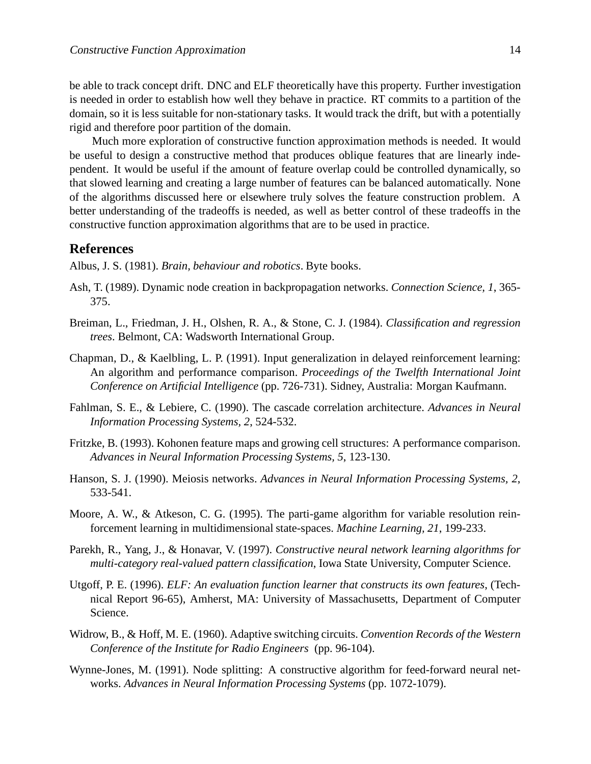be able to track concept drift. DNC and ELF theoretically have this property. Further investigation is needed in order to establish how well they behave in practice. RT commits to a partition of the domain, so it is less suitable for non-stationary tasks. It would track the drift, but with a potentially rigid and therefore poor partition of the domain.

Much more exploration of constructive function approximation methods is needed. It would be useful to design a constructive method that produces oblique features that are linearly independent. It would be useful if the amount of feature overlap could be controlled dynamically, so that slowed learning and creating a large number of features can be balanced automatically. None of the algorithms discussed here or elsewhere truly solves the feature construction problem. A better understanding of the tradeoffs is needed, as well as better control of these tradeoffs in the constructive function approximation algorithms that are to be used in practice.

## **References**

Albus, J. S. (1981). *Brain, behaviour and robotics*. Byte books.

- Ash, T. (1989). Dynamic node creation in backpropagation networks. *Connection Science, 1*, 365- 375.
- Breiman, L., Friedman, J. H., Olshen, R. A., & Stone, C. J. (1984). *Classification and regression trees*. Belmont, CA: Wadsworth International Group.
- Chapman, D., & Kaelbling, L. P. (1991). Input generalization in delayed reinforcement learning: An algorithm and performance comparison. *Proceedings of the Twelfth International Joint Conference on Artificial Intelligence* (pp. 726-731). Sidney, Australia: Morgan Kaufmann.
- Fahlman, S. E., & Lebiere, C. (1990). The cascade correlation architecture. *Advances in Neural Information Processing Systems, 2*, 524-532.
- Fritzke, B. (1993). Kohonen feature maps and growing cell structures: A performance comparison. *Advances in Neural Information Processing Systems, 5*, 123-130.
- Hanson, S. J. (1990). Meiosis networks. *Advances in Neural Information Processing Systems, 2*, 533-541.
- Moore, A. W., & Atkeson, C. G. (1995). The parti-game algorithm for variable resolution reinforcement learning in multidimensional state-spaces. *Machine Learning, 21*, 199-233.
- Parekh, R., Yang, J., & Honavar, V. (1997). *Constructive neural network learning algorithms for multi-category real-valued pattern classification*, Iowa State University, Computer Science.
- Utgoff, P. E. (1996). *ELF: An evaluation function learner that constructs its own features*, (Technical Report 96-65), Amherst, MA: University of Massachusetts, Department of Computer Science.
- Widrow, B., & Hoff, M. E. (1960). Adaptive switching circuits. *Convention Records of the Western Conference of the Institute for Radio Engineers* (pp. 96-104).
- Wynne-Jones, M. (1991). Node splitting: A constructive algorithm for feed-forward neural networks. *Advances in Neural Information Processing Systems* (pp. 1072-1079).